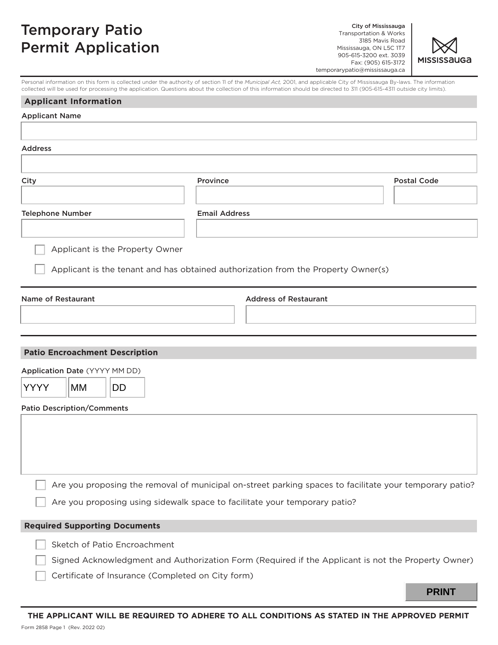## Temporary Patio Permit Application

City of Mississauga Transportation & Works 3185 Mavis Road Mississauga, ON L5C 1T7 905-615-3200 ext. 3039 Fax: (905) 615-3172 temporarypatio@mississauga.ca



Personal information on this form is collected under the authority of section 11 of the *Municipal Act,* 2001, and applicable City of Mississauga By-laws. The information collected will be used for processing the application. Questions about the collection of this information should be directed to 311 (905-615-4311 outside city limits).

| <b>Applicant Information</b>                                                                            |                              |                    |
|---------------------------------------------------------------------------------------------------------|------------------------------|--------------------|
| <b>Applicant Name</b>                                                                                   |                              |                    |
|                                                                                                         |                              |                    |
| <b>Address</b>                                                                                          |                              |                    |
|                                                                                                         |                              |                    |
| City                                                                                                    | Province                     | <b>Postal Code</b> |
|                                                                                                         |                              |                    |
| <b>Telephone Number</b>                                                                                 | <b>Email Address</b>         |                    |
|                                                                                                         |                              |                    |
| Applicant is the Property Owner                                                                         |                              |                    |
|                                                                                                         |                              |                    |
| Applicant is the tenant and has obtained authorization from the Property Owner(s)                       |                              |                    |
| <b>Name of Restaurant</b>                                                                               | <b>Address of Restaurant</b> |                    |
|                                                                                                         |                              |                    |
|                                                                                                         |                              |                    |
|                                                                                                         |                              |                    |
| <b>Patio Encroachment Description</b>                                                                   |                              |                    |
| Application Date (YYYY MM DD)                                                                           |                              |                    |
| <b>YYYY</b><br> MM<br><b>DD</b>                                                                         |                              |                    |
| <b>Patio Description/Comments</b>                                                                       |                              |                    |
|                                                                                                         |                              |                    |
|                                                                                                         |                              |                    |
|                                                                                                         |                              |                    |
|                                                                                                         |                              |                    |
| Are you proposing the removal of municipal on-street parking spaces to facilitate your temporary patio? |                              |                    |
| Are you proposing using sidewalk space to facilitate your temporary patio?                              |                              |                    |
|                                                                                                         |                              |                    |
| <b>Required Supporting Documents</b>                                                                    |                              |                    |
| Sketch of Patio Encroachment                                                                            |                              |                    |
| Signed Acknowledgment and Authorization Form (Required if the Applicant is not the Property Owner)      |                              |                    |
| Certificate of Insurance (Completed on City form)                                                       |                              |                    |
|                                                                                                         |                              | <b>PRINT</b>       |